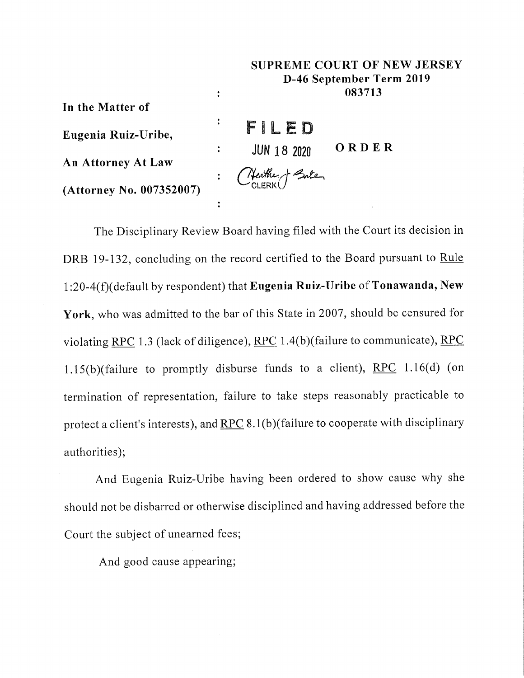|                          | <b>SUPREME COURT OF NEW JERSEY</b><br>D-46 September Term 2019 |       |
|--------------------------|----------------------------------------------------------------|-------|
|                          | 083713                                                         |       |
| In the Matter of         |                                                                |       |
| Eugenia Ruiz-Uribe,      | FILED                                                          |       |
| An Attorney At Law       | $JUN$ 18 2020                                                  | ORDER |
|                          | : Cheather J Salen                                             |       |
| (Attorney No. 007352007) |                                                                |       |

The Disciplinary Review Board having filed with the Court its decision in DRB 19-132, concluding on the record certified to the Board pursuant to Rule **1:20-4(f)(default by respondent) that Eugenia Ruiz-Uribe of Tonawanda, New** York, who was admitted to the bar of this State in 2007, should be censured for violating RPC 1.3 (lack of diligence), RPC 1.4(b)(failure to communicate), RPC 1.15(b)(failure to promptly disburse funds to a client), RPC 1.16(d) (on termination of representation, failure to take steps reasonably practicable to protect a client's interests), and RPC 8.1(b)(failure to cooperate with disciplinary authorities);

And Eugenia Ruiz-Uribe having been ordered to show cause why she should not be disbarred or otherwise disciplined and having addressed before the Court the subject of unearned fees;

And good cause appearing;